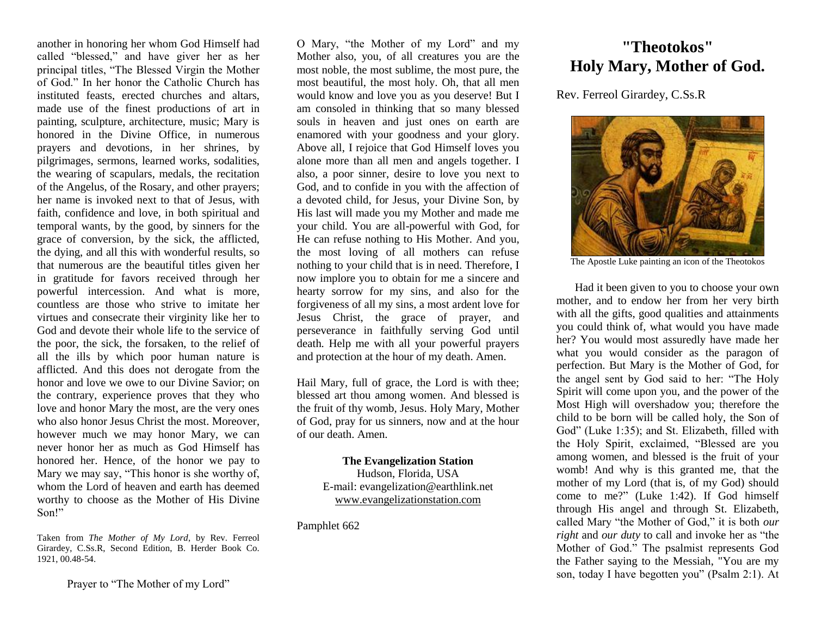another in honoring her whom God Himself had called "blessed," and have giver her as her principal titles, "The Blessed Virgin the Mother of God." In her honor the Catholic Church has instituted feasts, erected churches and altars, made use of the finest productions of art in painting, sculpture, architecture, music; Mary is honored in the Divine Office, in numerous prayers and devotions, in her shrines, by pilgrimages, sermons, learned works, sodalities, the wearing of scapulars, medals, the recitation of the Angelus, of the Rosary, and other prayers; her name is invoked next to that of Jesus, with faith, confidence and love, in both spiritual and temporal wants, by the good, by sinners for the grace of conversion, by the sick, the afflicted, the dying, and all this with wonderful results, so that numerous are the beautiful titles given her in gratitude for favors received through her powerful intercession. And what is more, countless are those who strive to imitate her virtues and consecrate their virginity like her to God and devote their whole life to the service of the poor, the sick, the forsaken, to the relief of all the ills by which poor human nature is afflicted. And this does not derogate from the honor and love we owe to our Divine Savior; on the contrary, experience proves that they who love and honor Mary the most, are the very ones who also honor Jesus Christ the most. Moreover, however much we may honor Mary, we can never honor her as much as God Himself has honored her. Hence, of the honor we pay to Mary we may say, "This honor is she worthy of, whom the Lord of heaven and earth has deemed worthy to choose as the Mother of His Divine Son!"

Taken from *The Mother of My Lord*, by Rev. Ferreol Girardey, C.Ss.R, Second Edition, B. Herder Book Co. 1921, 00.48-54.

O Mary, "the Mother of my Lord" and my Mother also, you, of all creatures you are the most noble, the most sublime, the most pure, the most beautiful, the most holy. Oh, that all men would know and love you as you deserve! But I am consoled in thinking that so many blessed souls in heaven and just ones on earth are enamored with your goodness and your glory. Above all, I rejoice that God Himself loves you alone more than all men and angels together. I also, a poor sinner, desire to love you next to God, and to confide in you with the affection of a devoted child, for Jesus, your Divine Son, by His last will made you my Mother and made me your child. You are all-powerful with God, for He can refuse nothing to His Mother. And you, the most loving of all mothers can refuse nothing to your child that is in need. Therefore, I now implore you to obtain for me a sincere and hearty sorrow for my sins, and also for the forgiveness of all my sins, a most ardent love for Jesus Christ, the grace of prayer, and perseverance in faithfully serving God until death. Help me with all your powerful prayers and protection at the hour of my death. Amen.

Hail Mary, full of grace, the Lord is with thee; blessed art thou among women. And blessed is the fruit of thy womb, Jesus. Holy Mary, Mother of God, pray for us sinners, now and at the hour of our death. Amen.

## **The Evangelization Station** Hudson, Florida, USA E-mail: evangelization@earthlink.net [www.evangelizationstation.com](http://www.pjpiisoe.org/)

Pamphlet 662

## **"Theotokos" Holy Mary, Mother of God.**

Rev. Ferreol Girardey, C.Ss.R



The Apostle Luke painting an icon of the Theotokos

Had it been given to you to choose your own mother, and to endow her from her very birth with all the gifts, good qualities and attainments you could think of, what would you have made her? You would most assuredly have made her what you would consider as the paragon of perfection. But Mary is the Mother of God, for the angel sent by God said to her: "The Holy Spirit will come upon you, and the power of the Most High will overshadow you; therefore the child to be born will be called holy, the Son of God" (Luke 1:35); and St. Elizabeth, filled with the Holy Spirit, exclaimed, "Blessed are you among women, and blessed is the fruit of your womb! And why is this granted me, that the mother of my Lord (that is, of my God) should come to me?" (Luke 1:42). If God himself through His angel and through St. Elizabeth, called Mary "the Mother of God," it is both *our right* and *our duty* to call and invoke her as "the Mother of God." The psalmist represents God the Father saying to the Messiah, "You are my son, today I have begotten you" (Psalm 2:1). At